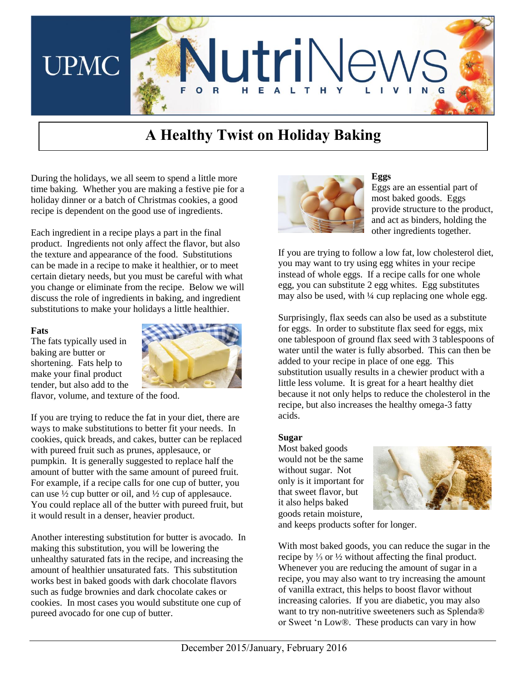

# **A Healthy Twist on Holiday Baking**

During the holidays, we all seem to spend a little more time baking. Whether you are making a festive pie for a holiday dinner or a batch of Christmas cookies, a good recipe is dependent on the good use of ingredients.

Each ingredient in a recipe plays a part in the final product. Ingredients not only affect the flavor, but also the texture and appearance of the food. Substitutions can be made in a recipe to make it healthier, or to meet certain dietary needs, but you must be careful with what you change or eliminate from the recipe. Below we will discuss the role of ingredients in baking, and ingredient substitutions to make your holidays a little healthier.

#### **Fats**

The fats typically used in baking are butter or shortening. Fats help to make your final product tender, but also add to the



flavor, volume, and texture of the food.

If you are trying to reduce the fat in your diet, there are ways to make substitutions to better fit your needs. In cookies, quick breads, and cakes, butter can be replaced with pureed fruit such as prunes, applesauce, or pumpkin. It is generally suggested to replace half the amount of butter with the same amount of pureed fruit. For example, if a recipe calls for one cup of butter, you can use ½ cup butter or oil, and ½ cup of applesauce. You could replace all of the butter with pureed fruit, but it would result in a denser, heavier product.

Another interesting substitution for butter is avocado. In making this substitution, you will be lowering the unhealthy saturated fats in the recipe, and increasing the amount of healthier unsaturated fats. This substitution works best in baked goods with dark chocolate flavors such as fudge brownies and dark chocolate cakes or cookies. In most cases you would substitute one cup of pureed avocado for one cup of butter.



#### **Eggs**

Eggs are an essential part of most baked goods. Eggs provide structure to the product, and act as binders, holding the other ingredients together.

If you are trying to follow a low fat, low cholesterol diet, you may want to try using egg whites in your recipe instead of whole eggs. If a recipe calls for one whole egg, you can substitute 2 egg whites. Egg substitutes may also be used, with  $\frac{1}{4}$  cup replacing one whole egg.

Surprisingly, flax seeds can also be used as a substitute for eggs. In order to substitute flax seed for eggs, mix one tablespoon of ground flax seed with 3 tablespoons of water until the water is fully absorbed. This can then be added to your recipe in place of one egg. This substitution usually results in a chewier product with a little less volume. It is great for a heart healthy diet because it not only helps to reduce the cholesterol in the recipe, but also increases the healthy omega-3 fatty acids.

#### **Sugar**

Most baked goods would not be the same without sugar. Not only is it important for that sweet flavor, but it also helps baked goods retain moisture,



and keeps products softer for longer.

With most baked goods, you can reduce the sugar in the recipe by ⅓ or ½ without affecting the final product. Whenever you are reducing the amount of sugar in a recipe, you may also want to try increasing the amount of vanilla extract, this helps to boost flavor without increasing calories. If you are diabetic, you may also want to try non-nutritive sweeteners such as Splenda® or Sweet 'n Low®. These products can vary in how